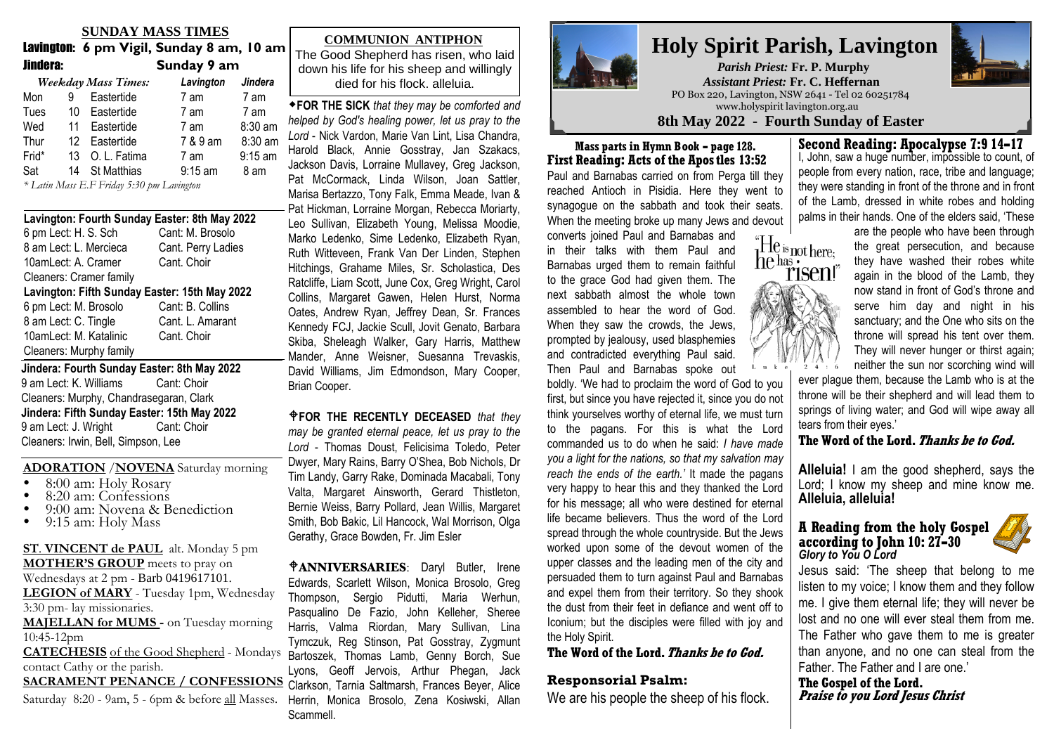### **SUNDAY MASS TIMES**

 Lavington: **6 pm Vigil, Sunday 8 am, 10 am**Jindera: **Sunday 9 am**

|       |   | Weekday Mass Times: | Lavington | Jindera   |  |  |
|-------|---|---------------------|-----------|-----------|--|--|
| Mon   | 9 | Eastertide          | 7 am      | 7 am      |  |  |
| Tues  |   | 10 Eastertide       | 7 am      | 7 am      |  |  |
| Wed   |   | 11 Eastertide       | 7 am      | 8:30 am   |  |  |
| Thur  |   | 12 Eastertide       | 7 & 9 am  | 8:30 am   |  |  |
| Frid* |   | 13 O. L. Fatima     | 7 am      | $9:15$ am |  |  |
| Sat   |   | 14 St Matthias      | $9:15$ am | 8 am      |  |  |
|       |   |                     |           |           |  |  |

*\* Latin Mass E.F Friday 5:30 pm Lavington*

| Lavington: Fourth Sunday Easter: 8th May 2022 |                    |  |  |  |  |  |  |  |  |
|-----------------------------------------------|--------------------|--|--|--|--|--|--|--|--|
| 6 pm Lect: H. S. Sch                          | Cant: M. Brosolo   |  |  |  |  |  |  |  |  |
| 8 am Lect: L. Mercieca                        | Cant. Perry Ladies |  |  |  |  |  |  |  |  |
| 10amLect: A. Cramer                           | Cant. Choir        |  |  |  |  |  |  |  |  |
| Cleaners: Cramer family                       |                    |  |  |  |  |  |  |  |  |
| Lavington: Fifth Sunday Easter: 15th May 2022 |                    |  |  |  |  |  |  |  |  |
| 6 pm Lect: M. Brosolo                         | Cant: B. Collins   |  |  |  |  |  |  |  |  |
| 8 am Lect: C. Tingle                          | Cant. L. Amarant   |  |  |  |  |  |  |  |  |
| 10amLect: M. Katalinic                        | Cant. Choir        |  |  |  |  |  |  |  |  |
| Cleaners: Murphy family                       |                    |  |  |  |  |  |  |  |  |
| Jindera: Fourth Sunday Easter: 8th May 2022   |                    |  |  |  |  |  |  |  |  |
| 9 am Lect: K. Williams<br>Cant: Choir         |                    |  |  |  |  |  |  |  |  |
| Cleaners: Murphy, Chandrasegaran, Clark       |                    |  |  |  |  |  |  |  |  |
| Jindera: Fifth Sunday Easter: 15th May 2022   |                    |  |  |  |  |  |  |  |  |
| 9 am Lect: J. Wright<br>Cant: Choir           |                    |  |  |  |  |  |  |  |  |

Cleaners: Irwin, Bell, Simpson, Lee

#### **ADORATION** /**NOVENA** Saturday morning

- $\bullet$ 8:00 am: Holy Rosary
- . 8:20 am: Confessions
- . 9:00 am: Novena & Benediction
- $\bullet$ 9:15 am: Holy Mass

**ST**. **VINCENT de PAUL** alt. Monday 5 pm**MOTHER'S GROUP** meets to pray on Wednesdays at 2 pm - Barb 0419617101. **LEGION of MARY** - Tuesday 1pm, Wednesday 3:30 pm- lay missionaries. **MAJELLAN for MUMS -** on Tuesday morning 10:45-12pm**CATECHESIS** of the Good Shepherd - Mondays Bartoszek, Thomas Lamb, Genny Borch, Sue contact Cathy or the parish. contact Cathy of the parish.<br> **SACRAMENT PENANCE / CONFESSIONS** Clarkson, Tarnia Saltmarsh, Frances Beyer, Alice SACRAMENT PENANCE / CONPESSIONS Clarkson, Tarnia Saltmarsh, Frances Beyer, Alice<br>Saturday 8:20 - 9am, 5 - 6pm & before <u>all</u> Masses. Herrin, Monica Brosolo, Zena Kosiwski, Allan

### **COMMUNION ANTIPHON:**The Good**COMMUNION ANTIPHON: COMMUNION ANTIPHON**

The Good Shepherd has risen, who laid down his life for his sheep and willingly died for his flock. alleluia.

-**FOR THE SICK** *that they may be comforted and*-**FOR THE SICK** *that they may be comforted andhelped by God's healing power, let us pray to the helped by God's healing power, let us pray to the***FOR THE SICK** *that they may be comforted andhelped by God's healing power, let us pray to theLord* - Nick Vardon, Marie Van Lint, Lisa Chandra,  $H$ aroid Biack, Annie Gosstray, Jan Szakacs, Jackson Davis, Lorraine Mullavey, Greg Jackson, Pat McCormack, Linda Wilson, Joan Sattler, Marisa Bertazzo, Tony Falk, Emma Meade, Ivan &<br>-Pat Hickman, Lorraine Morgan, Rebecca Moriarty, Leo Sullivan, Elizabeth Young, Melissa Moodie, Marko Ledenko, Sime Ledenko, Elizabeth Ryan, Ruth Witteveen, Frank Van Der Linden, Stephen Hitchings, Grahame Miles, Sr. Scholastica, Des Edmondson, Mary Cooper, Brian Cooper. -**FOR THE RECENTLY DECEASED** *& those* Ratcliffe, Liam Scott, June Cox, Greg Wright, Carol **Collins, Margaret Gawen, Helen Hurst, Norma**<br>Collins, Margaret Gawen, Helen Hurst, Norma **Drame, marget comen, more marget, monetal transferred Kennedy FCJ, Jackie Scull, Jovit Genato, Barbara** Kennedy FCJ, Jackie Scull, Jovit Genato, Barbara<br>Skiba, Sheleagh Walker, Gary Harris, Matthew Mander, Anne Weisner, Suesanna Trevaskis, David Williams, Jim Edmondson, Mary Cooper, Margot Murray, Pat Scott, Coral Marks, FrKelly, Helen Zago, Brenda Konecnik, Sr.Brian Cooper.Frank Bell, Steve Korpos, Aldo Gamba, Julie*Lord* - Lisa Chandra, Harold Black, Annie *Lord* - Nick Vardon, Marie Van Lint, Lisa Chandra,Lord Then Careen, Maho Can Lint, Lica Shahana,<br>Harold Black, Annie Gosstray, Jan Szakacs, Szakacs, Lorraine Mullavey, Greg Jackson, Pat Jackson Davis, Lorraine Mullavey, Greg Jackson,McCormack, Linda Wilson, Margaret Smith, Joan Sattler, Leo Sullivan, Stan Lechmere, Kateri Pat McCormack, Linda Wilson, Joan Sattler,Collins, Margaret Gawen, Helen Hurst, Norma Oates, Andrew Ryan, Jeffrey Dean, Sr. Frances Harold Black, Annie Gosstray, Jan Szakacs,

 $P$ FOR THE RECENTLY DECEASED that they **ANDING THE REGENTER BEGENCES** and any Lord - Thomas Doust, Felicisima Toledo, Peter Song Theories Secure, Almanum Polescy, Alexandr<br>Dwyer, Mary Rains, Barry O'Shea, Bob Nichols, Dr namell, Dorothy Cossor, Arthur Phegan, Theorem, Phegan, Theorem, Phegan, Tony<br>Tim Landy, Garry Rake, Dominada Macabali, Tony Jack Clarkson, Reg Davey, Michael McCarthy cssr, Alice Keen, Jean Brown, Valta, Margaret Ainsworth, Gerard Thistleton,Vanci, Andryal et Americani, Cociatum Americani,<br>Bernie Weiss, Barry Pollard, Jean Willis, Margaret Thompson, Therese Penn, Frances Rohrich, Haddad, Laurie Brennan, Patrick Kelly, Smith, Bob Bakic, Lil Hancock, Wal Morrison, OlgaBernard Bos Banno, En Hanboon, Marmomoon, Orga<br>Carathy, Craeo Boydan, Er, Jim Ealer Linden, Claude Burker, Regentley, Sheiland, Sheiland, Sheiland, Sheiland, Sheiland, Sheiland, Sheiland, Sheiland, Dwyer, Mary Rains, Barry O'Shea, Bob Nichols, Dr Gerathy, Grace Bowden, Fr. Jim Esler Bernie Weiss, Barry Pollard, Jean Willis, Margaret

 $A$ **ANNIVERSARIES**: Daryl Butler, Irene Thompson, Sergio Pidutti, Maria Werhun,<br>Pasqualino De Eazio John Kelleber, Shereg Pasqualino De Fazio, John Kelleher, Sheree Harris, Valma Riordan, Mary Sullivan, Lina Tymczuk, Reg Stinson, Pat Gosstray, Zygmunt Lyons, Geoff Jervois, Arthur Phegan, Jack Edwards, Scarlett Wilson, Monica Brosolo, Greg Scammell. Amen. Americans our Lord. Americans of the Christ of Terms of Terms of Terms of Terms of Terms of Te



### **Holy Spirit Parish, Lavington***Parish Priest:* **Fr. P. Murphy**  *Assistant Priest:* **Fr. C. Heffernan**PO Box 220, Lavington, NSW 2641 - Tel 02 60251784

www.holyspirit lavington.org.au

**8th May 2022 - Fourth Sunday of EasterMass parts in Hymn Book - page 128.**

**First Reading: Acts of the Apos tles 13:52** Paul and Barnabas carried on from Perga till they reached Antioch in Pisidia. Here they went to synagogue on the sabbath and took their seats.When the meeting broke up many Jews and devout

converts joined Paul and Barnabas and in their talks with them Paul and Barnabas urged them to remain faithful to the grace God had given them. The next sabbath almost the whole town assembled to hear the word of God.When they saw the crowds, the Jews,prompted by jealousy, used blasphemies and contradicted everything Paul said.Then Paul and Barnabas spoke out

 boldly. 'We had to proclaim the word of God to you first, but since you have rejected it, since you do not think yourselves worthy of eternal life, we must turn to the pagans. For this is what the Lord commanded us to do when he said: *I have made you a light for the nations, so that my salvation may reach the ends of the earth.'* It made the pagans very happy to hear this and they thanked the Lord for his message; all who were destined for eternal life became believers. Thus the word of the Lord spread through the whole countryside. But the Jews worked upon some of the devout women of the upper classes and the leading men of the city and persuaded them to turn against Paul and Barnabas and expel them from their territory. So they shook the dust from their feet in defiance and went off to Iconium; but the disciples were filled with joy andthe Holy Spirit.

### **The Word of the Lord. Thanks be to God.**

### **Responsorial Psalm:**

We are his people the sheep of his flock.

### **Second Reading: Apocalypse 7:9 14-17**

 I, John, saw a huge number, impossible to count, of people from every nation, race, tribe and language;they were standing in front of the throne and in frontof the Lamb, dressed in white robes and holdingpalms in their hands. One of the elders said, 'These



 are the people who have been through the great persecution, and because they have washed their robes white again in the blood of the Lamb, they now stand in front of God's throne and serve him day and night in his sanctuary; and the One who sits on the throne will spread his tent over them. They will never hunger or thirst again;neither the sun nor scorching wind will

ever plague them, because the Lamb who is at the throne will be their shepherd and will lead them to springs of living water; and God will wipe away all tears from their eyes.'

**The Word of the Lord. Thanks be to God.**

**Alleluia!** I am the good shepherd, says the Lord; I know my sheep and mine know me.**Alleluia, alleluia!**

#### **A Reading from the holy Gospelaccording to John 10: 27-30***Glory to You O Lord*



 Jesus said: 'The sheep that belong to me listen to my voice; I know them and they follow me. I give them eternal life; they will never be lost and no one will ever steal them from me. The Father who gave them to me is greater than anyone, and no one can steal from theFather. The Father and I are one.'

**The Gospel of the Lord.Praise to you Lord Jesus Christ**